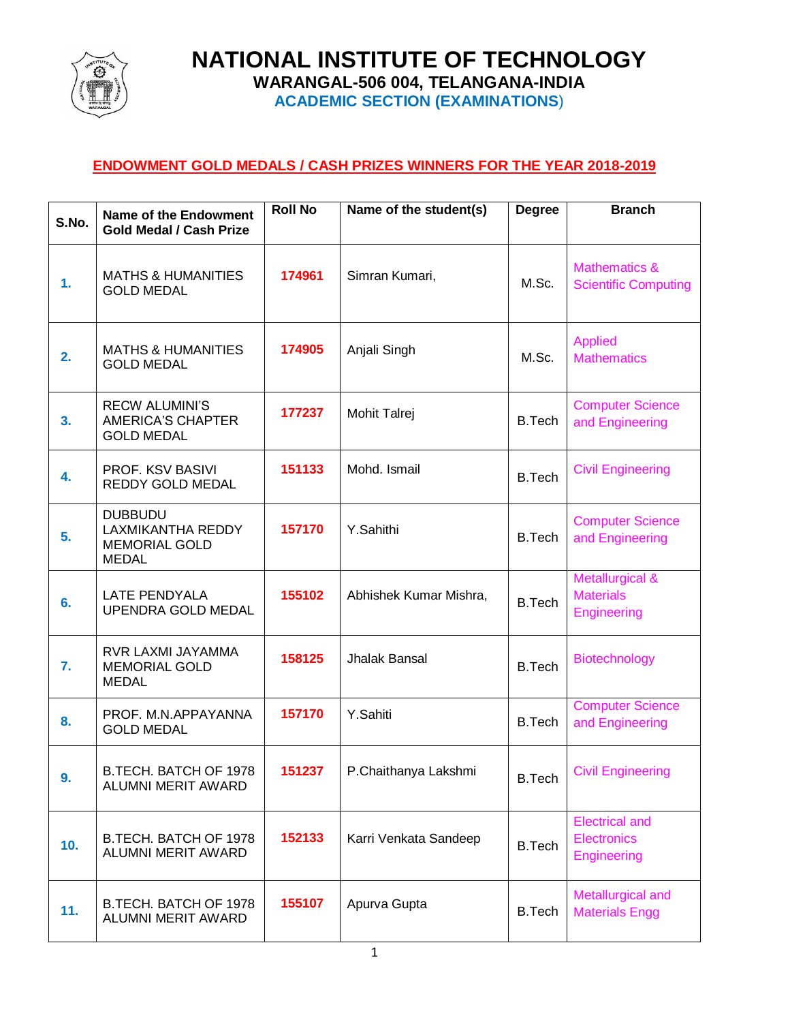

**NATIONAL INSTITUTE OF TECHNOLOGY WARANGAL-506 004, TELANGANA-INDIA ACADEMIC SECTION (EXAMINATIONS**)

## **ENDOWMENT GOLD MEDALS / CASH PRIZES WINNERS FOR THE YEAR 2018-2019**

| S.No. | Name of the Endowment<br><b>Gold Medal / Cash Prize</b>                     | <b>Roll No</b> | Name of the student(s) | <b>Degree</b> | <b>Branch</b>                                              |
|-------|-----------------------------------------------------------------------------|----------------|------------------------|---------------|------------------------------------------------------------|
| 1.    | <b>MATHS &amp; HUMANITIES</b><br><b>GOLD MEDAL</b>                          | 174961         | Simran Kumari,         | M.Sc.         |                                                            |
| 2.    | <b>MATHS &amp; HUMANITIES</b><br><b>GOLD MEDAL</b>                          | 174905         | Anjali Singh           | M.Sc.         | <b>Applied</b><br><b>Mathematics</b>                       |
| 3.    | <b>RECW ALUMINI'S</b><br><b>AMERICA'S CHAPTER</b><br><b>GOLD MEDAL</b>      | 177237         | Mohit Talrej           | <b>B.Tech</b> | <b>Computer Science</b><br>and Engineering                 |
| 4.    | PROF. KSV BASIVI<br>REDDY GOLD MEDAL                                        | 151133         | Mohd. Ismail           | <b>B.Tech</b> | <b>Civil Engineering</b>                                   |
| 5.    | <b>DUBBUDU</b><br>LAXMIKANTHA REDDY<br><b>MEMORIAL GOLD</b><br><b>MEDAL</b> | 157170         | Y.Sahithi              | <b>B.Tech</b> | <b>Computer Science</b><br>and Engineering                 |
| 6.    | <b>LATE PENDYALA</b><br>UPENDRA GOLD MEDAL                                  | 155102         | Abhishek Kumar Mishra, | <b>B.Tech</b> | Metallurgical &<br><b>Materials</b><br><b>Engineering</b>  |
| 7.    | RVR LAXMI JAYAMMA<br><b>MEMORIAL GOLD</b><br><b>MEDAL</b>                   | 158125         | Jhalak Bansal          | <b>B.Tech</b> | Biotechnology                                              |
| 8.    | PROF. M.N.APPAYANNA<br><b>GOLD MEDAL</b>                                    | 157170         | Y.Sahiti               | <b>B.Tech</b> | <b>Computer Science</b><br>and Engineering                 |
| э.    | B.TECH. BATCH OF 1978<br>ALUMNI MERIT AWARD                                 | 151237         | P.Chaithanya Lakshmi   | <b>B.Tech</b> | <b>Civil Engineering</b>                                   |
| 10.   | B.TECH. BATCH OF 1978<br><b>ALUMNI MERIT AWARD</b>                          | 152133         | Karri Venkata Sandeep  | <b>B.Tech</b> | <b>Electrical and</b><br><b>Electronics</b><br>Engineering |
| 11.   | B.TECH. BATCH OF 1978<br>ALUMNI MERIT AWARD                                 | 155107         | Apurva Gupta           | <b>B.Tech</b> | Metallurgical and<br><b>Materials Engg</b>                 |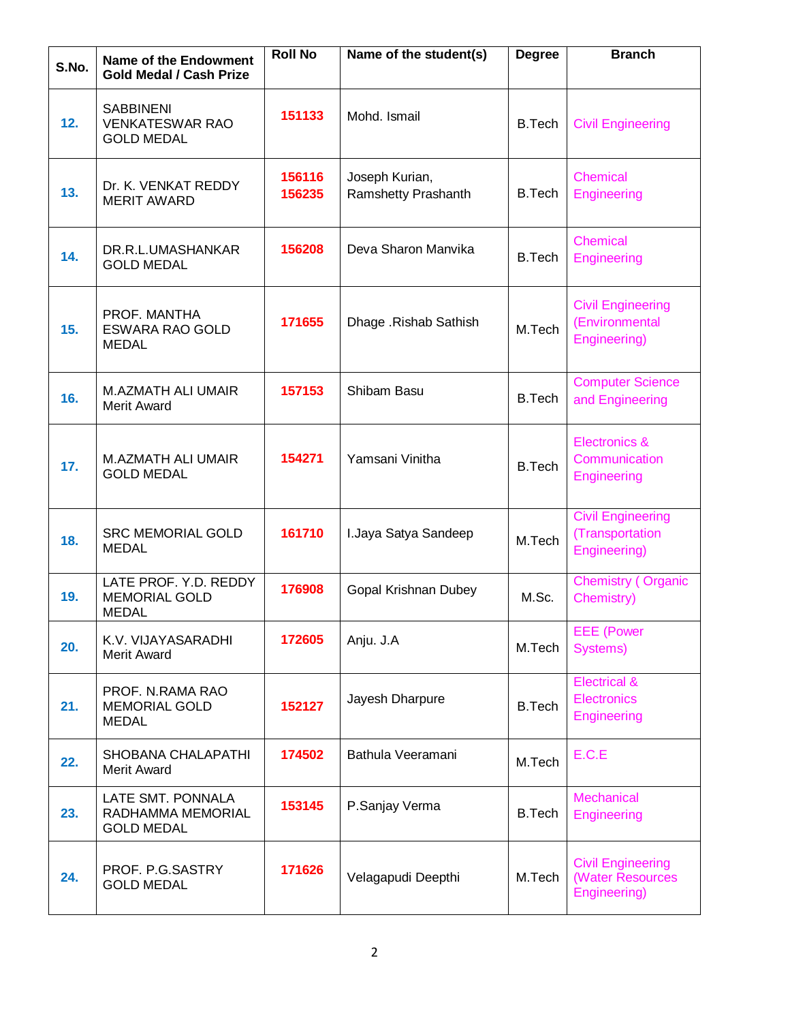| S.No. | <b>Name of the Endowment</b><br><b>Gold Medal / Cash Prize</b>  | <b>Roll No</b>   | Name of the student(s)<br><b>Degree</b> |               | <b>Branch</b>                                                |
|-------|-----------------------------------------------------------------|------------------|-----------------------------------------|---------------|--------------------------------------------------------------|
| 12.   | <b>SABBINENI</b><br><b>VENKATESWAR RAO</b><br><b>GOLD MEDAL</b> | 151133           | Mohd. Ismail                            | B.Tech        | <b>Civil Engineering</b>                                     |
| 13.   | Dr. K. VENKAT REDDY<br><b>MERIT AWARD</b>                       | 156116<br>156235 | Joseph Kurian,<br>Ramshetty Prashanth   | <b>B.Tech</b> | Chemical<br>Engineering                                      |
| 14.   | DR.R.L.UMASHANKAR<br><b>GOLD MEDAL</b>                          | 156208           | Deva Sharon Manvika                     | <b>B.Tech</b> | Chemical<br>Engineering                                      |
| 15.   | PROF. MANTHA<br><b>ESWARA RAO GOLD</b><br><b>MEDAL</b>          | 171655           | Dhage .Rishab Sathish                   | M.Tech        | <b>Civil Engineering</b><br>(Environmental<br>Engineering)   |
| 16.   | M.AZMATH ALI UMAIR<br><b>Merit Award</b>                        | 157153           | Shibam Basu                             | <b>B.Tech</b> | <b>Computer Science</b><br>and Engineering                   |
| 17.   | <b>M.AZMATH ALI UMAIR</b><br><b>GOLD MEDAL</b>                  | 154271           | Yamsani Vinitha                         | <b>B.Tech</b> | Electronics &<br>Communication<br><b>Engineering</b>         |
| 18.   | <b>SRC MEMORIAL GOLD</b><br><b>MEDAL</b>                        | 161710           | I.Jaya Satya Sandeep                    | M.Tech        | <b>Civil Engineering</b><br>(Transportation<br>Engineering)  |
| 19.   | LATE PROF. Y.D. REDDY<br><b>MEMORIAL GOLD</b><br><b>MEDAL</b>   | 176908           | Gopal Krishnan Dubey                    | M.Sc.         | <b>Chemistry (Organic</b><br>Chemistry)                      |
| 20.   | K.V. VIJAYASARADHI<br>Merit Award                               | 172605           | Anju. J.A                               | M.Tech        | <b>EEE</b> (Power<br>Systems)                                |
| 21.   | PROF. N.RAMA RAO<br><b>MEMORIAL GOLD</b><br><b>MEDAL</b>        | 152127           | Jayesh Dharpure                         | <b>B.Tech</b> | <b>Electrical &amp;</b><br><b>Electronics</b><br>Engineering |
| 22.   | SHOBANA CHALAPATHI<br>Merit Award                               | 174502           | Bathula Veeramani                       | M.Tech        | E.C.E                                                        |
| 23.   | LATE SMT. PONNALA<br>RADHAMMA MEMORIAL<br><b>GOLD MEDAL</b>     | 153145           | P.Sanjay Verma                          | <b>B.Tech</b> | Mechanical<br><b>Engineering</b>                             |
| 24.   | PROF. P.G.SASTRY<br><b>GOLD MEDAL</b>                           | 171626           | Velagapudi Deepthi                      | M.Tech        | <b>Civil Engineering</b><br>(Water Resources<br>Engineering) |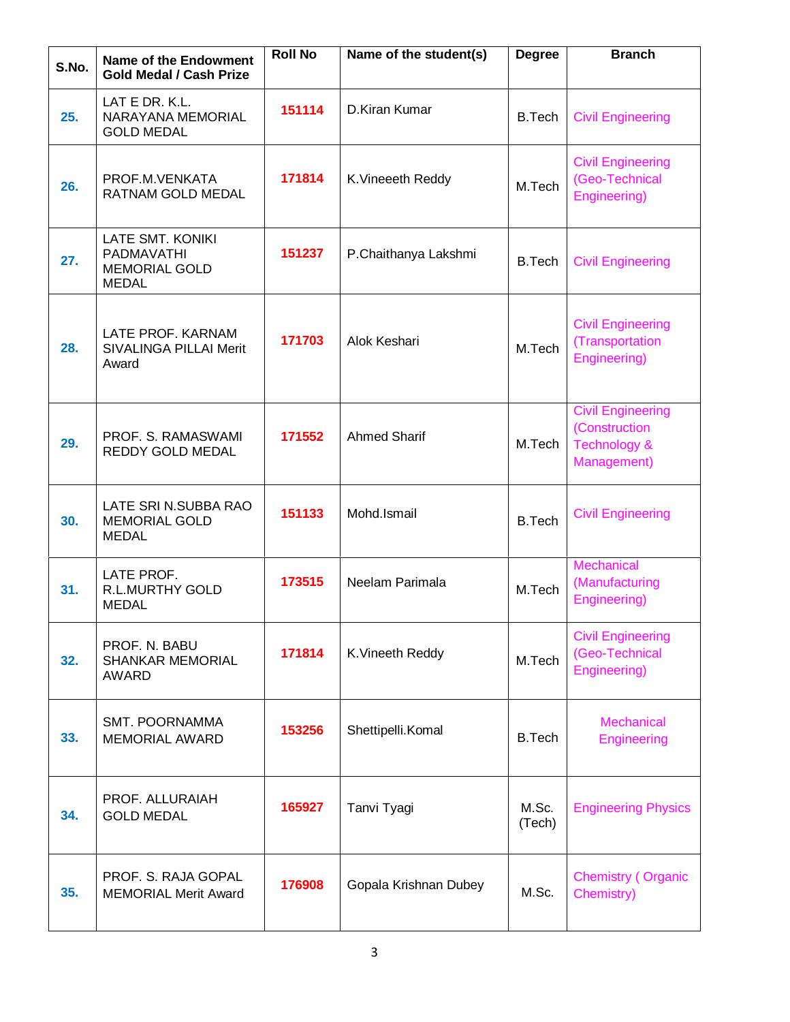| S.No. | Name of the Endowment<br><b>Gold Medal / Cash Prize</b>                | <b>Roll No</b> | Name of the student(s) | <b>Degree</b>                                                        | <b>Branch</b>                                                                       |
|-------|------------------------------------------------------------------------|----------------|------------------------|----------------------------------------------------------------------|-------------------------------------------------------------------------------------|
| 25.   | LAT E DR. K.L.<br>NARAYANA MEMORIAL<br><b>GOLD MEDAL</b>               | 151114         | D.Kiran Kumar          | <b>B.Tech</b>                                                        | <b>Civil Engineering</b>                                                            |
| 26.   | PROF M VENKATA<br>RATNAM GOLD MEDAL                                    | 171814         | K. Vineeeth Reddy      | <b>Civil Engineering</b><br>(Geo-Technical<br>M.Tech<br>Engineering) |                                                                                     |
| 27.   | LATE SMT. KONIKI<br>PADMAVATHI<br><b>MEMORIAL GOLD</b><br><b>MEDAL</b> | 151237         | P.Chaithanya Lakshmi   | <b>B.Tech</b>                                                        | <b>Civil Engineering</b>                                                            |
| 28.   | LATE PROF. KARNAM<br><b>SIVALINGA PILLAI Merit</b><br>Award            | 171703         | Alok Keshari           | M.Tech                                                               | <b>Civil Engineering</b><br>(Transportation<br>Engineering)                         |
| 29.   | PROF. S. RAMASWAMI<br>REDDY GOLD MEDAL                                 | 171552         | <b>Ahmed Sharif</b>    | M.Tech                                                               | <b>Civil Engineering</b><br>(Construction<br><b>Technology &amp;</b><br>Management) |
| 30.   | LATE SRI N.SUBBA RAO<br><b>MEMORIAL GOLD</b><br><b>MEDAL</b>           | 151133         | Mohd.Ismail            | <b>B.Tech</b>                                                        | <b>Civil Engineering</b>                                                            |
| 31.   | LATE PROF.<br><b>R.L.MURTHY GOLD</b><br><b>MEDAL</b>                   | 173515         | Neelam Parimala        | M.Tech                                                               | Mechanical<br>(Manufacturing<br>Engineering)                                        |
| 32.   | PROF. N. BABU<br><b>SHANKAR MEMORIAL</b><br>AWARD                      | 171814         | K.Vineeth Reddy        | M.Tech                                                               | <b>Civil Engineering</b><br>(Geo-Technical<br>Engineering)                          |
| 33.   | SMT. POORNAMMA<br><b>MEMORIAL AWARD</b>                                | 153256         | Shettipelli.Komal      | <b>B.Tech</b>                                                        | Mechanical<br>Engineering                                                           |
| 34.   | PROF. ALLURAIAH<br><b>GOLD MEDAL</b>                                   | 165927         | Tanvi Tyagi            | M.Sc.<br>(Tech)                                                      | <b>Engineering Physics</b>                                                          |
| 35.   | PROF. S. RAJA GOPAL<br><b>MEMORIAL Merit Award</b>                     | 176908         | Gopala Krishnan Dubey  | M.Sc.                                                                | <b>Chemistry (Organic</b><br>Chemistry)                                             |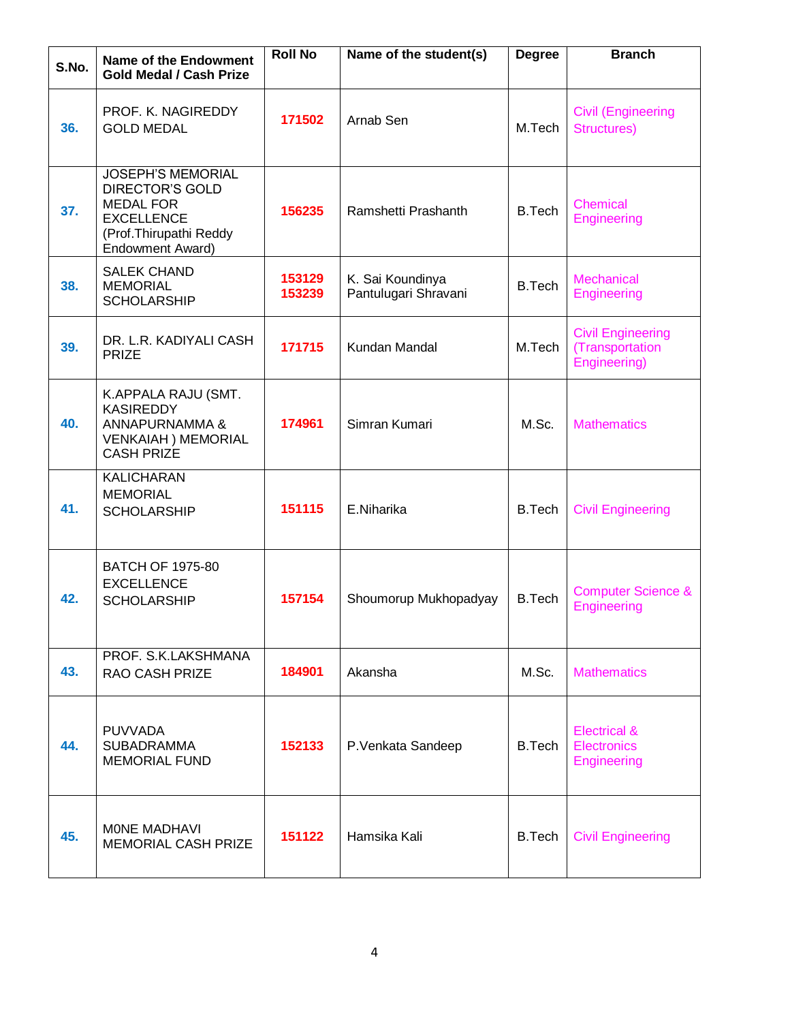| S.No. | <b>Name of the Endowment</b><br><b>Gold Medal / Cash Prize</b>                                                                                   | <b>Roll No</b>   | Name of the student(s)                   | <b>Degree</b> | <b>Branch</b>                                                |
|-------|--------------------------------------------------------------------------------------------------------------------------------------------------|------------------|------------------------------------------|---------------|--------------------------------------------------------------|
| 36.   | PROF. K. NAGIREDDY<br><b>GOLD MEDAL</b>                                                                                                          | 171502           | Arnab Sen                                | M.Tech        |                                                              |
| 37.   | <b>JOSEPH'S MEMORIAL</b><br><b>DIRECTOR'S GOLD</b><br><b>MEDAL FOR</b><br><b>EXCELLENCE</b><br>(Prof.Thirupathi Reddy<br><b>Endowment Award)</b> | 156235           | Ramshetti Prashanth                      | <b>B.Tech</b> | <b>Chemical</b><br>Engineering                               |
| 38.   | <b>SALEK CHAND</b><br><b>MEMORIAL</b><br><b>SCHOLARSHIP</b>                                                                                      | 153129<br>153239 | K. Sai Koundinya<br>Pantulugari Shravani | <b>B.Tech</b> | Mechanical<br>Engineering                                    |
| 39.   | DR. L.R. KADIYALI CASH<br><b>PRIZE</b>                                                                                                           | 171715           | Kundan Mandal                            | M.Tech        | <b>Civil Engineering</b><br>(Transportation<br>Engineering)  |
| 40.   | K.APPALA RAJU (SMT.<br><b>KASIREDDY</b><br>ANNAPURNAMMA &<br><b>VENKAIAH ) MEMORIAL</b><br><b>CASH PRIZE</b>                                     | 174961           | Simran Kumari                            | M.Sc.         | <b>Mathematics</b>                                           |
| 41.   | <b>KALICHARAN</b><br><b>MEMORIAL</b><br><b>SCHOLARSHIP</b>                                                                                       | 151115           | E.Niharika                               | <b>B.Tech</b> | <b>Civil Engineering</b>                                     |
| 42.   | <b>BATCH OF 1975-80</b><br><b>EXCELLENCE</b><br><b>SCHOLARSHIP</b>                                                                               | 157154           | Shoumorup Mukhopadyay                    | <b>B.Tech</b> | <b>Computer Science &amp;</b><br>Engineering                 |
| 43.   | PROF. S.K.LAKSHMANA<br><b>RAO CASH PRIZE</b>                                                                                                     | 184901           | Akansha                                  | M.Sc.         | <b>Mathematics</b>                                           |
| 44.   | <b>PUVVADA</b><br><b>SUBADRAMMA</b><br><b>MEMORIAL FUND</b>                                                                                      | 152133           | P.Venkata Sandeep                        | <b>B.Tech</b> | <b>Electrical &amp;</b><br><b>Electronics</b><br>Engineering |
| 45.   | MONE MADHAVI<br><b>MEMORIAL CASH PRIZE</b>                                                                                                       | 151122           | Hamsika Kali                             | <b>B.Tech</b> | <b>Civil Engineering</b>                                     |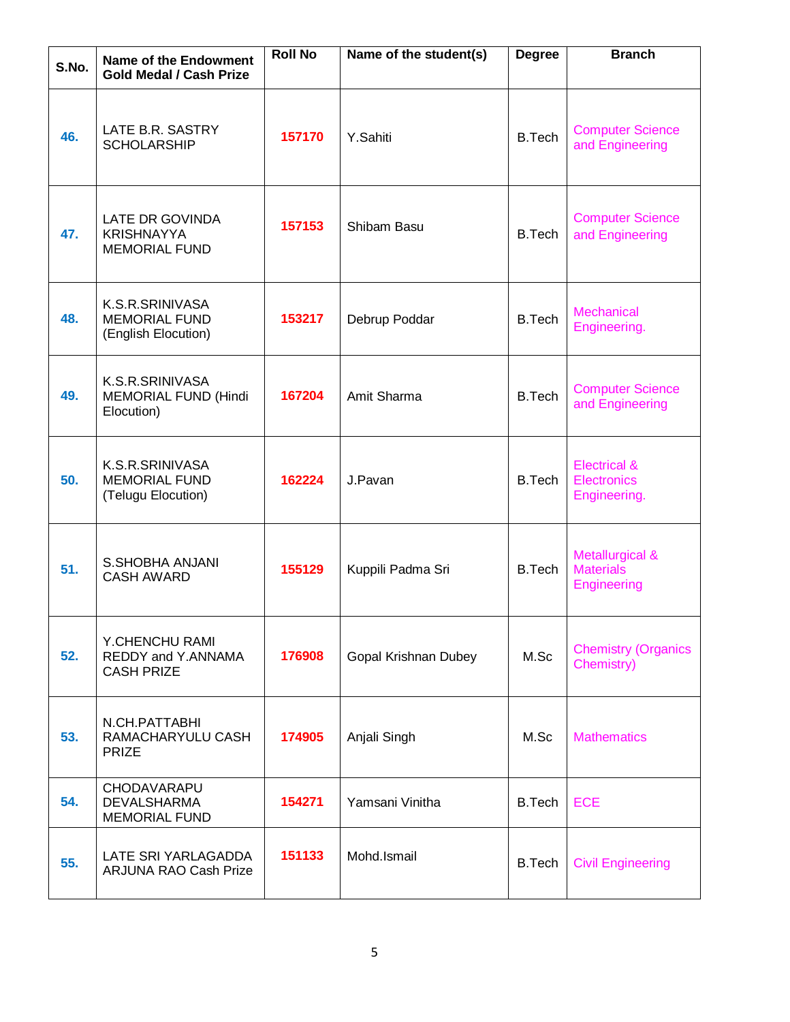| S.No. | Name of the Endowment<br><b>Gold Medal / Cash Prize</b>        | <b>Roll No</b> | Name of the student(s) | <b>Degree</b> | <b>Branch</b>                                                 |
|-------|----------------------------------------------------------------|----------------|------------------------|---------------|---------------------------------------------------------------|
| 46.   | LATE B.R. SASTRY<br><b>SCHOLARSHIP</b>                         | 157170         | Y.Sahiti               | <b>B.Tech</b> | <b>Computer Science</b><br>and Engineering                    |
| 47.   | LATE DR GOVINDA<br><b>KRISHNAYYA</b><br><b>MEMORIAL FUND</b>   | 157153         | Shibam Basu            | <b>B.Tech</b> | <b>Computer Science</b><br>and Engineering                    |
| 48.   | K.S.R.SRINIVASA<br><b>MEMORIAL FUND</b><br>(English Elocution) | 153217         | Debrup Poddar          | <b>B.Tech</b> | <b>Mechanical</b><br>Engineering.                             |
| 49.   | K.S.R.SRINIVASA<br><b>MEMORIAL FUND (Hindi</b><br>Elocution)   | 167204         | Amit Sharma            | <b>B.Tech</b> | <b>Computer Science</b><br>and Engineering                    |
| 50.   | K.S.R.SRINIVASA<br><b>MEMORIAL FUND</b><br>(Telugu Elocution)  | 162224         | J.Pavan                | <b>B.Tech</b> | <b>Electrical &amp;</b><br><b>Electronics</b><br>Engineering. |
| 51.   | <b>S.SHOBHA ANJANI</b><br><b>CASH AWARD</b>                    | 155129         | Kuppili Padma Sri      | <b>B.Tech</b> | Metallurgical &<br><b>Materials</b><br>Engineering            |
| 52.   | Y.CHENCHU RAMI<br>REDDY and Y.ANNAMA<br><b>CASH PRIZE</b>      | 176908         | Gopal Krishnan Dubey   | M.Sc          | <b>Chemistry (Organics</b><br>Chemistry)                      |
| 53.   | N.CH.PATTABHI<br>RAMACHARYULU CASH<br><b>PRIZE</b>             | 174905         | Anjali Singh           | M.Sc          | <b>Mathematics</b>                                            |
| 54.   | CHODAVARAPU<br><b>DEVALSHARMA</b><br><b>MEMORIAL FUND</b>      | 154271         | Yamsani Vinitha        | <b>B.Tech</b> | <b>ECE</b>                                                    |
| 55.   | LATE SRI YARLAGADDA<br><b>ARJUNA RAO Cash Prize</b>            | 151133         | Mohd.Ismail            | <b>B.Tech</b> | <b>Civil Engineering</b>                                      |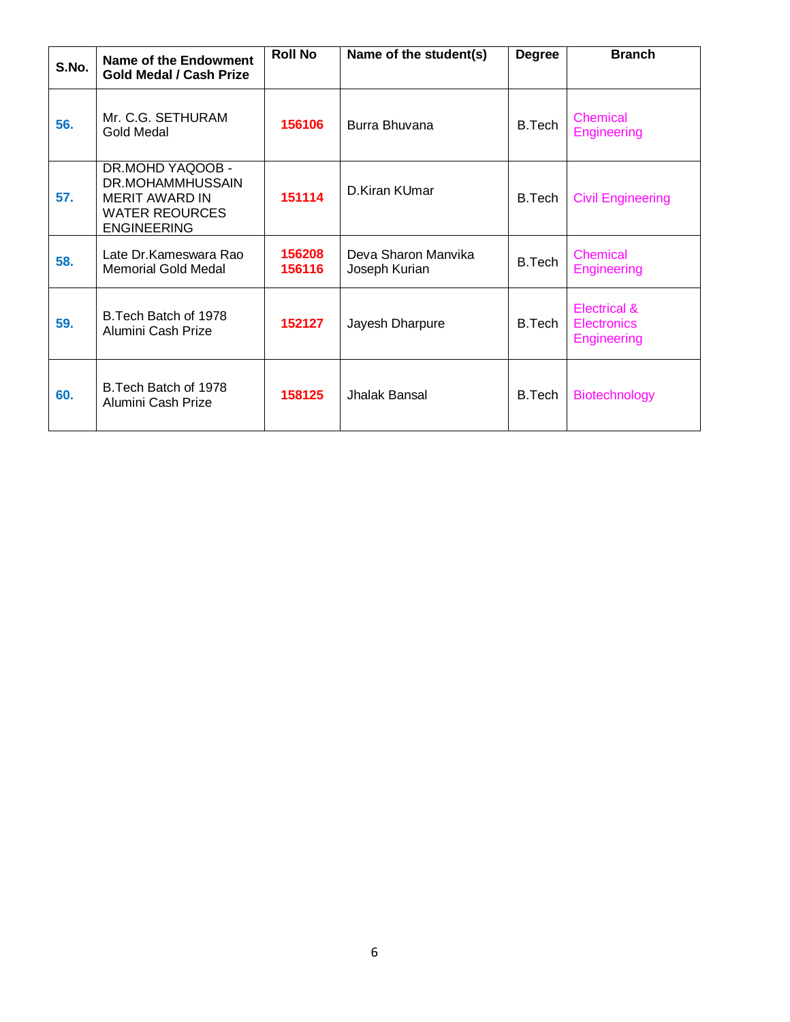| S.No. | Name of the Endowment<br><b>Gold Medal / Cash Prize</b>                                                      | <b>Roll No</b>   | Name of the student(s)               | <b>Degree</b> | <b>Branch</b>                                            |
|-------|--------------------------------------------------------------------------------------------------------------|------------------|--------------------------------------|---------------|----------------------------------------------------------|
| 56.   | Mr. C.G. SETHURAM<br>Gold Medal                                                                              | 156106           | Burra Bhuvana                        | <b>B.Tech</b> | <b>Chemical</b><br>Engineering                           |
| 57.   | DR.MOHD YAQOOB -<br>DR.MOHAMMHUSSAIN<br><b>MERIT AWARD IN</b><br><b>WATER REOURCES</b><br><b>ENGINEERING</b> | 151114           | D. Kiran KUmar                       | <b>B.Tech</b> | <b>Civil Engineering</b>                                 |
| 58.   | Late Dr. Kameswara Rao<br><b>Memorial Gold Medal</b>                                                         | 156208<br>156116 | Deva Sharon Manvika<br>Joseph Kurian | B.Tech        | Chemical<br>Engineering                                  |
| 59.   | B. Tech Batch of 1978<br>Alumini Cash Prize                                                                  | 152127           | Jayesh Dharpure                      | B.Tech        | Electrical &<br><b>Electronics</b><br><b>Engineering</b> |
| 60.   | B. Tech Batch of 1978<br>Alumini Cash Prize                                                                  | 158125           | Jhalak Bansal                        | <b>B.Tech</b> | <b>Biotechnology</b>                                     |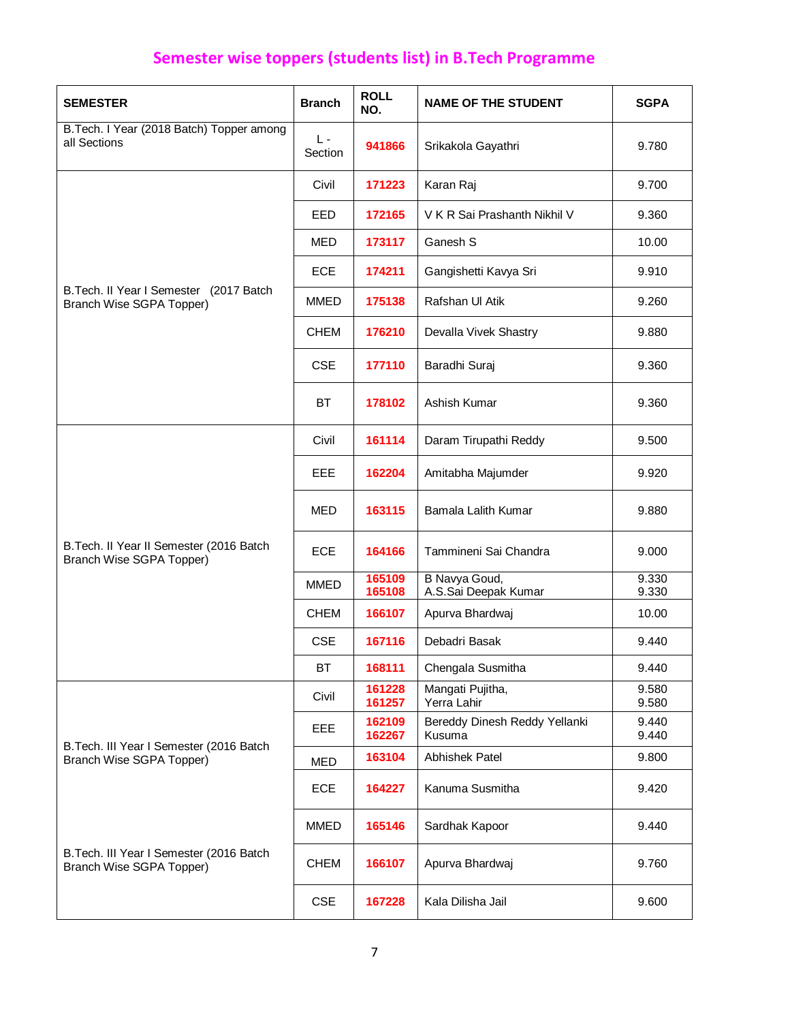## **Semester wise toppers (students list) in B.Tech Programme**

| <b>SEMESTER</b>                                                      | <b>Branch</b> | <b>ROLL</b><br>NO. | <b>NAME OF THE STUDENT</b>              | <b>SGPA</b>    |
|----------------------------------------------------------------------|---------------|--------------------|-----------------------------------------|----------------|
| B. Tech. I Year (2018 Batch) Topper among<br>all Sections            | L-<br>Section | 941866             | Srikakola Gayathri                      | 9.780          |
|                                                                      | Civil         | 171223             | Karan Raj                               | 9.700          |
|                                                                      | EED           | 172165             | V K R Sai Prashanth Nikhil V            | 9.360          |
|                                                                      | <b>MED</b>    | 173117             | Ganesh S                                | 10.00          |
|                                                                      | <b>ECE</b>    | 174211             | Gangishetti Kavya Sri                   | 9.910          |
| B. Tech. Il Year I Semester (2017 Batch<br>Branch Wise SGPA Topper)  | <b>MMED</b>   | 175138             | Rafshan UI Atik                         | 9.260          |
|                                                                      | <b>CHEM</b>   | 176210             | Devalla Vivek Shastry                   | 9.880          |
|                                                                      | <b>CSE</b>    | 177110             | Baradhi Suraj                           | 9.360          |
|                                                                      | ВT            | 178102             | Ashish Kumar                            | 9.360          |
|                                                                      | Civil         | 161114             | Daram Tirupathi Reddy                   | 9.500          |
|                                                                      | EEE           | 162204             | Amitabha Majumder                       | 9.920          |
|                                                                      | <b>MED</b>    | 163115             | Bamala Lalith Kumar                     | 9.880          |
| B. Tech. Il Year II Semester (2016 Batch<br>Branch Wise SGPA Topper) | <b>ECE</b>    | 164166             | Tammineni Sai Chandra                   | 9.000          |
|                                                                      | <b>MMED</b>   | 165109<br>165108   | B Navya Goud,<br>A.S.Sai Deepak Kumar   | 9.330<br>9.330 |
|                                                                      | <b>CHEM</b>   | 166107             | Apurva Bhardwaj                         | 10.00          |
|                                                                      | <b>CSE</b>    | 167116             | Debadri Basak                           | 9.440          |
|                                                                      | BT            | 168111             | Chengala Susmitha                       | 9.440          |
|                                                                      | Civil         | 161228<br>161257   | Mangati Pujitha,<br>Yerra Lahir         | 9.580<br>9.580 |
|                                                                      | EEE           | 162109<br>162267   | Bereddy Dinesh Reddy Yellanki<br>Kusuma | 9.440<br>9.440 |
| B. Tech. III Year I Semester (2016 Batch<br>Branch Wise SGPA Topper) | <b>MED</b>    | 163104             | Abhishek Patel                          | 9.800          |
|                                                                      | <b>ECE</b>    | 164227             | Kanuma Susmitha                         | 9.420          |
|                                                                      | <b>MMED</b>   | 165146             | Sardhak Kapoor                          | 9.440          |
| B. Tech. III Year I Semester (2016 Batch<br>Branch Wise SGPA Topper) | <b>CHEM</b>   | 166107             | Apurva Bhardwaj                         | 9.760          |
|                                                                      | <b>CSE</b>    | 167228             | Kala Dilisha Jail                       | 9.600          |